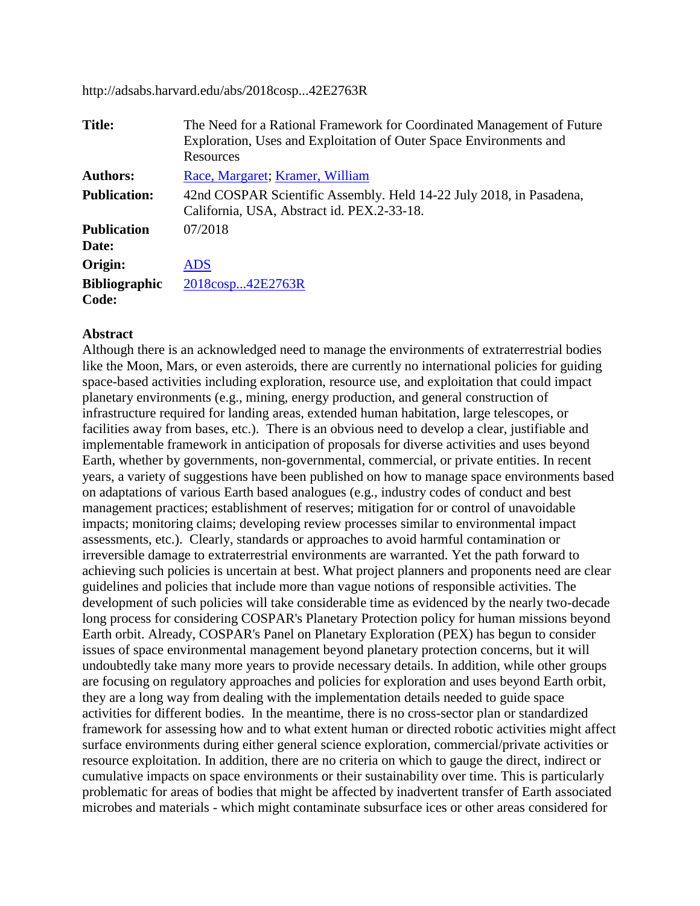http://adsabs.harvard.edu/abs/2018cosp...42E2763R

| <b>Title:</b>                 | The Need for a Rational Framework for Coordinated Management of Future<br>Exploration, Uses and Exploitation of Outer Space Environments and<br>Resources |
|-------------------------------|-----------------------------------------------------------------------------------------------------------------------------------------------------------|
| <b>Authors:</b>               | Race, Margaret; Kramer, William                                                                                                                           |
| <b>Publication:</b>           | 42nd COSPAR Scientific Assembly. Held 14-22 July 2018, in Pasadena,<br>California, USA, Abstract id. PEX.2-33-18.                                         |
| <b>Publication</b><br>Date:   | 07/2018                                                                                                                                                   |
| Origin:                       | <b>ADS</b>                                                                                                                                                |
| <b>Bibliographic</b><br>Code: | 2018cosp42E2763R                                                                                                                                          |

## **Abstract**

Although there is an acknowledged need to manage the environments of extraterrestrial bodies like the Moon, Mars, or even asteroids, there are currently no international policies for guiding space-based activities including exploration, resource use, and exploitation that could impact planetary environments (e.g., mining, energy production, and general construction of infrastructure required for landing areas, extended human habitation, large telescopes, or facilities away from bases, etc.). There is an obvious need to develop a clear, justifiable and implementable framework in anticipation of proposals for diverse activities and uses beyond Earth, whether by governments, non-governmental, commercial, or private entities. In recent years, a variety of suggestions have been published on how to manage space environments based on adaptations of various Earth based analogues (e.g., industry codes of conduct and best management practices; establishment of reserves; mitigation for or control of unavoidable impacts; monitoring claims; developing review processes similar to environmental impact assessments, etc.). Clearly, standards or approaches to avoid harmful contamination or irreversible damage to extraterrestrial environments are warranted. Yet the path forward to achieving such policies is uncertain at best. What project planners and proponents need are clear guidelines and policies that include more than vague notions of responsible activities. The development of such policies will take considerable time as evidenced by the nearly two-decade long process for considering COSPAR's Planetary Protection policy for human missions beyond Earth orbit. Already, COSPAR's Panel on Planetary Exploration (PEX) has begun to consider issues of space environmental management beyond planetary protection concerns, but it will undoubtedly take many more years to provide necessary details. In addition, while other groups are focusing on regulatory approaches and policies for exploration and uses beyond Earth orbit, they are a long way from dealing with the implementation details needed to guide space activities for different bodies. In the meantime, there is no cross-sector plan or standardized framework for assessing how and to what extent human or directed robotic activities might affect surface environments during either general science exploration, commercial/private activities or resource exploitation. In addition, there are no criteria on which to gauge the direct, indirect or cumulative impacts on space environments or their sustainability over time. This is particularly problematic for areas of bodies that might be affected by inadvertent transfer of Earth associated microbes and materials - which might contaminate subsurface ices or other areas considered for